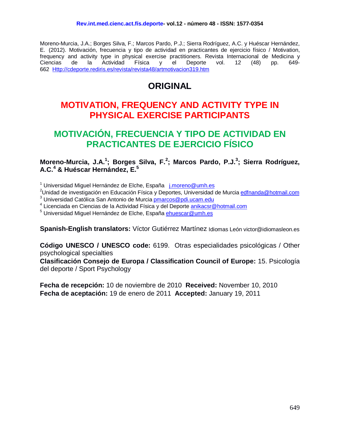Moreno-Murcia, J.A.; Borges Silva, F.; Marcos Pardo, P.J.; Sierra Rodríguez, A.C. y Huéscar Hernández, E. (2012). Motivación, frecuencia y tipo de actividad en practicantes de ejercicio físico / Motivation, frequency and activity type in physical exercise practitioners. Revista Internacional de Medicina y Ciencias de la Actividad Física y el Deporte vol. 12 (48) pp. 649- 662 [Http://cdeporte.rediris.es/revista/revista48/artmotivacion319.htm](http://cdeporte.rediris.es/revista/revista48/artmotivacion319.htm)

# **ORIGINAL**

# **MOTIVATION, FREQUENCY AND ACTIVITY TYPE IN PHYSICAL EXERCISE PARTICIPANTS**

# **MOTIVACIÓN, FRECUENCIA Y TIPO DE ACTIVIDAD EN PRACTICANTES DE EJERCICIO FÍSICO**

### **Moreno-Murcia, J.A.<sup>1</sup> ; Borges Silva, F.<sup>2</sup> ; Marcos Pardo, P.J.<sup>3</sup> ; Sierra Rodríguez, A.C.<sup>4</sup> & Huéscar Hernández, E.<sup>5</sup>**

<sup>1</sup> Universidad Miguel Hernández de Elche, España [j.moreno@umh.es](mailto:j.moreno@umh.es)

<sup>2</sup>Unidad de investigación en Educación Física y Deportes, Universidad de Murcia <u>edfnanda@hotmail.com</u> <sup>3</sup> Universidad Católica San Antonio de Murcia **pmarcos@pdi.ucam.edu** 

<sup>4</sup> Licenciada en Ciencias de la Actividad Física y del Deporte [anikacsr@hotmail.com](mailto:anikacsr@hotmail.com)

<sup>5</sup> Universidad Miguel Hernández de Elche, España [ehuescar@umh.es](mailto:ehuescar@umh.es)

**Spanish-English translators:** Víctor Gutiérrez Martínez Idiomas León victor@idiomasleon.es

**Código UNESCO / UNESCO code:** 6199. Otras especialidades psicológicas / Other psychological specialties

**Clasificación Consejo de Europa / Classification Council of Europe:** 15. Psicología del deporte / Sport Psychology

**Fecha de recepción:** 10 de noviembre de 2010 **Received:** November 10, 2010 **Fecha de aceptación:** 19 de enero de 2011 **Accepted:** January 19, 2011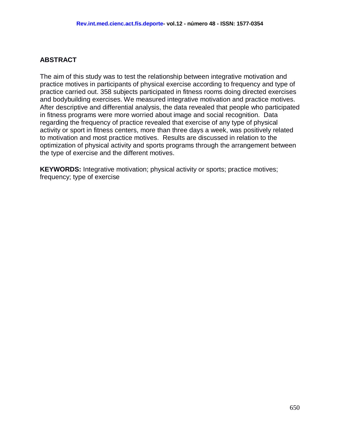### **ABSTRACT**

The aim of this study was to test the relationship between integrative motivation and practice motives in participants of physical exercise according to frequency and type of practice carried out. 358 subjects participated in fitness rooms doing directed exercises and bodybuilding exercises. We measured integrative motivation and practice motives. After descriptive and differential analysis, the data revealed that people who participated in fitness programs were more worried about image and social recognition. Data regarding the frequency of practice revealed that exercise of any type of physical activity or sport in fitness centers, more than three days a week, was positively related to motivation and most practice motives. Results are discussed in relation to the optimization of physical activity and sports programs through the arrangement between the type of exercise and the different motives.

**KEYWORDS:** Integrative motivation; physical activity or sports; practice motives; frequency; type of exercise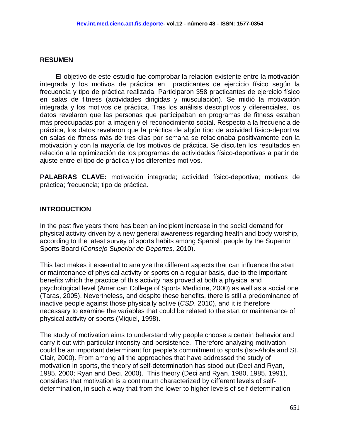#### **RESUMEN**

El objetivo de este estudio fue comprobar la relación existente entre la motivación integrada y los motivos de práctica en practicantes de ejercicio físico según la frecuencia y tipo de práctica realizada. Participaron 358 practicantes de ejercicio físico en salas de fitness (actividades dirigidas y musculación). Se midió la motivación integrada y los motivos de práctica. Tras los análisis descriptivos y diferenciales, los datos revelaron que las personas que participaban en programas de fitness estaban más preocupadas por la imagen y el reconocimiento social. Respecto a la frecuencia de práctica, los datos revelaron que la práctica de algún tipo de actividad físico-deportiva en salas de fitness más de tres días por semana se relacionaba positivamente con la motivación y con la mayoría de los motivos de práctica. Se discuten los resultados en relación a la optimización de los programas de actividades físico-deportivas a partir del ajuste entre el tipo de práctica y los diferentes motivos.

**PALABRAS CLAVE:** motivación integrada; actividad físico-deportiva; motivos de práctica; frecuencia; tipo de práctica.

#### **INTRODUCTION**

In the past five years there has been an incipient increase in the social demand for physical activity driven by a new general awareness regarding health and body worship, according to the latest survey of sports habits among Spanish people by the Superior Sports Board (*Consejo Superior de Deportes,* 2010).

This fact makes it essential to analyze the different aspects that can influence the start or maintenance of physical activity or sports on a regular basis, due to the important benefits which the practice of this activity has proved at both a physical and psychological level (American College of Sports Medicine, 2000) as well as a social one (Taras, 2005). Nevertheless, and despite these benefits, there is still a predominance of inactive people against those physically active (*CSD*, 2010), and it is therefore necessary to examine the variables that could be related to the start or maintenance of physical activity or sports (Miquel, 1998).

The study of motivation aims to understand why people choose a certain behavior and carry it out with particular intensity and persistence. Therefore analyzing motivation could be an important determinant for people's commitment to sports (Iso-Ahola and St. Clair, 2000). From among all the approaches that have addressed the study of motivation in sports, the theory of self-determination has stood out (Deci and Ryan, 1985, 2000; Ryan and Deci, 2000). This theory (Deci and Ryan, 1980, 1985, 1991), considers that motivation is a continuum characterized by different levels of selfdetermination, in such a way that from the lower to higher levels of self-determination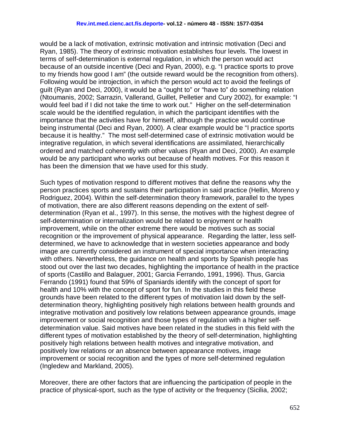would be a lack of motivation, extrinsic motivation and intrinsic motivation (Deci and Ryan, 1985). The theory of extrinsic motivation establishes four levels. The lowest in terms of self-determination is external regulation, in which the person would act because of an outside incentive (Deci and Ryan, 2000), e.g. "I practice sports to prove to my friends how good I am" (the outside reward would be the recognition from others). Following would be introjection, in which the person would act to avoid the feelings of guilt (Ryan and Deci, 2000), it would be a "ought to" or "have to" do something relation (Ntoumanis, 2002; Sarrazin, Vallerand, Guillet, Pelletier and Cury 2002), for example: "I would feel bad if I did not take the time to work out." Higher on the self-determination scale would be the identified regulation, in which the participant identifies with the importance that the activities have for himself, although the practice would continue being instrumental (Deci and Ryan, 2000). A clear example would be "I practice sports because it is healthy." The most self-determined case of extrinsic motivation would be integrative regulation, in which several identifications are assimilated, hierarchically ordered and matched coherently with other values (Ryan and Deci, 2000). An example would be any participant who works out because of health motives. For this reason it has been the dimension that we have used for this study.

Such types of motivation respond to different motives that define the reasons why the person practices sports and sustains their participation in said practice (Hellin, Moreno y Rodriguez, 2004). Within the self-determination theory framework, parallel to the types of motivation, there are also different reasons depending on the extent of selfdetermination (Ryan et al., 1997). In this sense, the motives with the highest degree of self-determination or internalization would be related to enjoyment or health improvement, while on the other extreme there would be motives such as social recognition or the improvement of physical appearance. Regarding the latter, less selfdetermined, we have to acknowledge that in western societies appearance and body image are currently considered an instrument of special importance when interacting with others. Nevertheless, the guidance on health and sports by Spanish people has stood out over the last two decades, highlighting the importance of health in the practice of sports (Castillo and Balaguer, 2001; Garcia Ferrando, 1991, 1996). Thus, Garcia Ferrando (1991) found that 59% of Spaniards identify with the concept of sport for health and 10% with the concept of sport for fun. In the studies in this field these grounds have been related to the different types of motivation laid down by the selfdetermination theory, highlighting positively high relations between health grounds and integrative motivation and positively low relations between appearance grounds, image improvement or social recognition and those types of regulation with a higher selfdetermination value. Said motives have been related in the studies in this field with the different types of motivation established by the theory of self-determination, highlighting positively high relations between health motives and integrative motivation, and positively low relations or an absence between appearance motives, image improvement or social recognition and the types of more self-determined regulation (Ingledew and Markland, 2005).

Moreover, there are other factors that are influencing the participation of people in the practice of physical-sport, such as the type of activity or the frequency (Sicilia, 2002;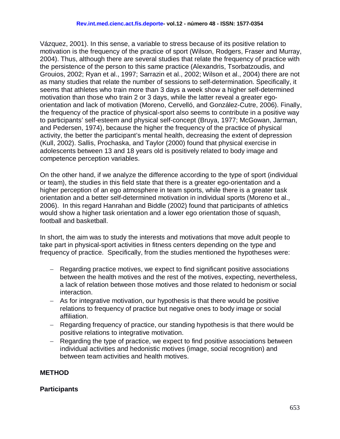Vázquez, 2001). In this sense, a variable to stress because of its positive relation to motivation is the frequency of the practice of sport (Wilson, Rodgers, Fraser and Murray, 2004). Thus, although there are several studies that relate the frequency of practice with the persistence of the person to this same practice (Alexandris, Tsorbatzoudis, and Grouios, 2002; Ryan et al., 1997; Sarrazin et al., 2002; Wilson et al., 2004) there are not as many studies that relate the number of sessions to self-determination. Specifically, it seems that athletes who train more than 3 days a week show a higher self-determined motivation than those who train 2 or 3 days, while the latter reveal a greater egoorientation and lack of motivation (Moreno, Cervelló, and González-Cutre, 2006). Finally, the frequency of the practice of physical-sport also seems to contribute in a positive way to participants' self-esteem and physical self-concept (Bruya, 1977; McGowan, Jarman, and Pedersen, 1974), because the higher the frequency of the practice of physical activity, the better the participant's mental health, decreasing the extent of depression (Kull, 2002). Sallis, Prochaska, and Taylor (2000) found that physical exercise in adolescents between 13 and 18 years old is positively related to body image and competence perception variables.

On the other hand, if we analyze the difference according to the type of sport (individual or team), the studies in this field state that there is a greater ego-orientation and a higher perception of an ego atmosphere in team sports, while there is a greater task orientation and a better self-determined motivation in individual sports (Moreno et al., 2006). In this regard Hanrahan and Biddle (2002) found that participants of athletics would show a higher task orientation and a lower ego orientation those of squash, football and basketball.

In short, the aim was to study the interests and motivations that move adult people to take part in physical-sport activities in fitness centers depending on the type and frequency of practice. Specifically, from the studies mentioned the hypotheses were:

- − Regarding practice motives, we expect to find significant positive associations between the health motives and the rest of the motives, expecting, nevertheless, a lack of relation between those motives and those related to hedonism or social interaction.
- − As for integrative motivation, our hypothesis is that there would be positive relations to frequency of practice but negative ones to body image or social affiliation.
- − Regarding frequency of practice, our standing hypothesis is that there would be positive relations to integrative motivation.
- − Regarding the type of practice, we expect to find positive associations between individual activities and hedonistic motives (image, social recognition) and between team activities and health motives.

# **METHOD**

#### **Participants**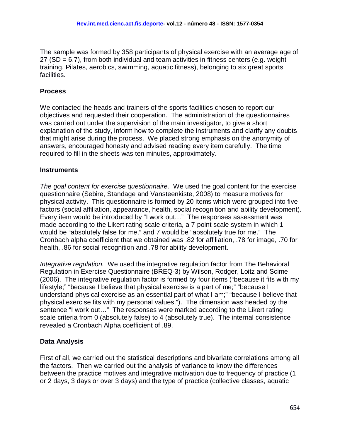The sample was formed by 358 participants of physical exercise with an average age of  $27$  (SD = 6.7), from both individual and team activities in fitness centers (e.g. weighttraining, Pilates, aerobics, swimming, aquatic fitness), belonging to six great sports facilities.

# **Process**

We contacted the heads and trainers of the sports facilities chosen to report our objectives and requested their cooperation. The administration of the questionnaires was carried out under the supervision of the main investigator, to give a short explanation of the study, inform how to complete the instruments and clarify any doubts that might arise during the process. We placed strong emphasis on the anonymity of answers, encouraged honesty and advised reading every item carefully. The time required to fill in the sheets was ten minutes, approximately.

#### **Instruments**

*The goal content for exercise questionnaire.* We used the goal content for the exercise questionnaire (Sebire, Standage and Vansteenkiste, 2008) to measure motives for physical activity. This questionnaire is formed by 20 items which were grouped into five factors (social affiliation, appearance, health, social recognition and ability development). Every item would be introduced by "I work out…" The responses assessment was made according to the Likert rating scale criteria, a 7-point scale system in which 1 would be "absolutely false for me," and 7 would be "absolutely true for me." The Cronbach alpha coefficient that we obtained was .82 for affiliation, .78 for image, .70 for health, .86 for social recognition and .78 for ability development.

*Integrative regulation.* We used the integrative regulation factor from The Behavioral Regulation in Exercise Questionnaire (BREQ-3) by Wilson, Rodger, Loitz and Scime (2006). The integrative regulation factor is formed by four items ("because it fits with my lifestyle;" "because I believe that physical exercise is a part of me;" "because I understand physical exercise as an essential part of what I am;" "because I believe that physical exercise fits with my personal values."). The dimension was headed by the sentence "I work out…" The responses were marked according to the Likert rating scale criteria from 0 (absolutely false) to 4 (absolutely true). The internal consistence revealed a Cronbach Alpha coefficient of .89.

# **Data Analysis**

First of all, we carried out the statistical descriptions and bivariate correlations among all the factors. Then we carried out the analysis of variance to know the differences between the practice motives and integrative motivation due to frequency of practice (1 or 2 days, 3 days or over 3 days) and the type of practice (collective classes, aquatic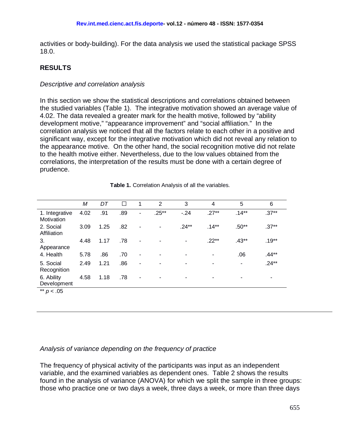activities or body-building). For the data analysis we used the statistical package SPSS 18.0.

# **RESULTS**

#### *Descriptive and correlation analysis*

In this section we show the statistical descriptions and correlations obtained between the studied variables (Table 1). The integrative motivation showed an average value of 4.02. The data revealed a greater mark for the health motive, followed by "ability development motive," "appearance improvement" and "social affiliation." In the correlation analysis we noticed that all the factors relate to each other in a positive and significant way, except for the integrative motivation which did not reveal any relation to the appearance motive. On the other hand, the social recognition motive did not relate to the health motive either. Nevertheless, due to the low values obtained from the correlations, the interpretation of the results must be done with a certain degree of prudence.

|                              | M    | DT   | П   | 1              | 2                        | 3        | 4        | 5       | 6       |
|------------------------------|------|------|-----|----------------|--------------------------|----------|----------|---------|---------|
| 1. Integrative<br>Motivation | 4.02 | .91  | .89 | $\blacksquare$ | $.25**$                  | $-24$    | $.27**$  | $.14**$ | $.37**$ |
| 2. Social<br>Affiliation     | 3.09 | 1.25 | .82 |                | $\overline{\phantom{a}}$ | $.24***$ | $.14***$ | $.50**$ | $.37**$ |
| 3.<br>Appearance             | 4.48 | 1.17 | .78 | ۰              |                          | ٠        | $.22**$  | $.43**$ | $.19**$ |
| 4. Health                    | 5.78 | .86  | .70 | ٠              |                          |          |          | .06     | $.44**$ |
| 5. Social<br>Recognition     | 2.49 | 1.21 | .86 | ۰              |                          |          |          | ٠       | $.24**$ |
| 6. Ability<br>Development    | 4.58 | 1.18 | .78 | ٠              |                          | ۰        |          | ٠       | ۰       |
| ** $p < .05$                 |      |      |     |                |                          |          |          |         |         |

**Table 1.** Correlation Analysis of all the variables.

#### *Analysis of variance depending on the frequency of practice*

The frequency of physical activity of the participants was input as an independent variable, and the examined variables as dependent ones. Table 2 shows the results found in the analysis of variance (ANOVA) for which we split the sample in three groups: those who practice one or two days a week, three days a week, or more than three days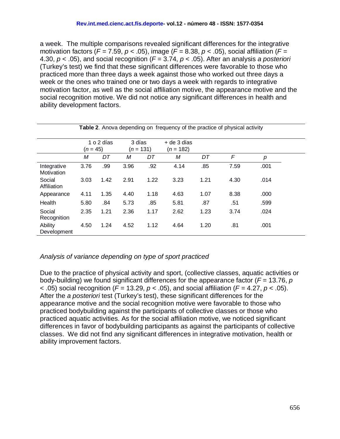a week. The multiple comparisons revealed significant differences for the integrative motivation factors (*F =* 7.59, *p* < .05), image (*F =* 8.38, *p* < .05), social affiliation (*F =*  4.30, *p* < .05), and social recognition (*F* = 3.74, *p* < .05). After an analysis *a posteriori*  (Turkey's test) we find that these significant differences were favorable to those who practiced more than three days a week against those who worked out three days a week or the ones who trained one or two days a week with regards to integrative motivation factor, as well as the social affiliation motive, the appearance motive and the social recognition motive. We did not notice any significant differences in health and ability development factors.

| Table 2. Anova depending on frequency of the practice of physical activity |      |                                                   |      |                              |      |      |      |      |  |  |
|----------------------------------------------------------------------------|------|---------------------------------------------------|------|------------------------------|------|------|------|------|--|--|
|                                                                            |      | 1 o 2 días<br>3 días<br>$(n = 45)$<br>$(n = 131)$ |      | $+$ de 3 días<br>$(n = 182)$ |      |      |      |      |  |  |
|                                                                            | M    | DT                                                | М    | DT                           | М    | DT   | F    | p    |  |  |
| Integrative<br>Motivation                                                  | 3.76 | .99                                               | 3.96 | .92                          | 4.14 | .85  | 7.59 | .001 |  |  |
| Social<br>Affiliation                                                      | 3.03 | 1.42                                              | 2.91 | 1.22                         | 3.23 | 1.21 | 4.30 | .014 |  |  |
| Appearance                                                                 | 4.11 | 1.35                                              | 4.40 | 1.18                         | 4.63 | 1.07 | 8.38 | .000 |  |  |
| Health                                                                     | 5.80 | .84                                               | 5.73 | .85                          | 5.81 | .87  | .51  | .599 |  |  |
| Social<br>Recognition                                                      | 2.35 | 1.21                                              | 2.36 | 1.17                         | 2.62 | 1.23 | 3.74 | .024 |  |  |
| Ability<br>Development                                                     | 4.50 | 1.24                                              | 4.52 | 1.12                         | 4.64 | 1.20 | .81  | .001 |  |  |

# *Analysis of variance depending on type of sport practiced*

Due to the practice of physical activity and sport, (collective classes, aquatic activities or body-building) we found significant differences for the appearance factor (*F* = 13.76, *p*  < .05) social recognition (*F* = 13.29, *p* < .05), and social affiliation (*F =* 4.27, *p* < .05). After the *a posteriori* test (Turkey's test), these significant differences for the appearance motive and the social recognition motive were favorable to those who practiced bodybuilding against the participants of collective classes or those who practiced aquatic activities. As for the social affiliation motive, we noticed significant differences in favor of bodybuilding participants as against the participants of collective classes. We did not find any significant differences in integrative motivation, health or ability improvement factors.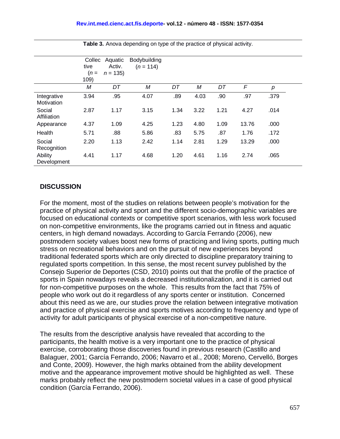|                           | Collec<br>tive<br>$(n=$ | Aquatic<br>Activ.<br>$n = 135$ | Bodybuilding<br>$(n = 114)$ |      |      |      |       |                  |
|---------------------------|-------------------------|--------------------------------|-----------------------------|------|------|------|-------|------------------|
|                           | 109)                    |                                |                             |      |      |      |       |                  |
|                           | M                       | DT                             | M                           | DT   | Μ    | DT   | F     | $\boldsymbol{p}$ |
| Integrative<br>Motivation | 3.94                    | .95                            | 4.07                        | .89  | 4.03 | .90  | .97   | .379             |
| Social<br>Affiliation     | 2.87                    | 1.17                           | 3.15                        | 1.34 | 3.22 | 1.21 | 4.27  | .014             |
| Appearance                | 4.37                    | 1.09                           | 4.25                        | 1.23 | 4.80 | 1.09 | 13.76 | .000             |
| Health                    | 5.71                    | .88                            | 5.86                        | .83  | 5.75 | .87  | 1.76  | .172             |
| Social<br>Recognition     | 2.20                    | 1.13                           | 2.42                        | 1.14 | 2.81 | 1.29 | 13.29 | .000             |
| Ability<br>Development    | 4.41                    | 1.17                           | 4.68                        | 1.20 | 4.61 | 1.16 | 2.74  | .065             |

**Table 3.** Anova depending on type of the practice of physical activity.

### **DISCUSSION**

For the moment, most of the studies on relations between people's motivation for the practice of physical activity and sport and the different socio-demographic variables are focused on educational contexts or competitive sport scenarios, with less work focused on non-competitive environments, like the programs carried out in fitness and aquatic centers, in high demand nowadays. According to García Ferrando (2006), new postmodern society values boost new forms of practicing and living sports, putting much stress on recreational behaviors and on the pursuit of new experiences beyond traditional federated sports which are only directed to discipline preparatory training to regulated sports competition. In this sense, the most recent survey published by the Consejo Superior de Deportes (CSD, 2010) points out that the profile of the practice of sports in Spain nowadays reveals a decreased institutionalization, and it is carried out for non-competitive purposes on the whole. This results from the fact that 75% of people who work out do it regardless of any sports center or institution. Concerned about this need as we are, our studies prove the relation between integrative motivation and practice of physical exercise and sports motives according to frequency and type of activity for adult participants of physical exercise of a non-competitive nature.

The results from the descriptive analysis have revealed that according to the participants, the health motive is a very important one to the practice of physical exercise, corroborating those discoveries found in previous research (Castillo and Balaguer, 2001; García Ferrando, 2006; Navarro et al., 2008; Moreno, Cervelló, Borges and Conte, 2009). However, the high marks obtained from the ability development motive and the appearance improvement motive should be highlighted as well. These marks probably reflect the new postmodern societal values in a case of good physical condition (García Ferrando, 2006).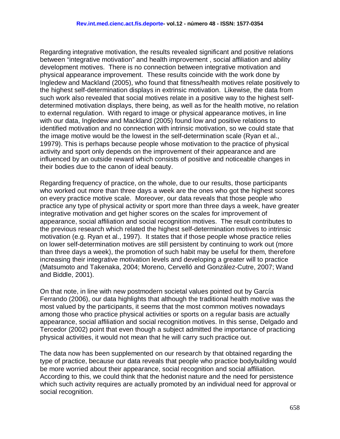Regarding integrative motivation, the results revealed significant and positive relations between "integrative motivation" and health improvement , social affiliation and ability development motives. There is no connection between integrative motivation and physical appearance improvement. These results coincide with the work done by Ingledew and Mackland (2005), who found that fitness/health motives relate positively to the highest self-determination displays in extrinsic motivation. Likewise, the data from such work also revealed that social motives relate in a positive way to the highest selfdetermined motivation displays, there being, as well as for the health motive, no relation to external regulation. With regard to image or physical appearance motives, in line with our data, Ingledew and Mackland (2005) found low and positive relations to identified motivation and no connection with intrinsic motivation, so we could state that the image motive would be the lowest in the self-determination scale (Ryan et al., 19979). This is perhaps because people whose motivation to the practice of physical activity and sport only depends on the improvement of their appearance and are influenced by an outside reward which consists of positive and noticeable changes in their bodies due to the canon of ideal beauty.

Regarding frequency of practice, on the whole, due to our results, those participants who worked out more than three days a week are the ones who got the highest scores on every practice motive scale. Moreover, our data reveals that those people who practice any type of physical activity or sport more than three days a week, have greater integrative motivation and get higher scores on the scales for improvement of appearance, social affiliation and social recognition motives. The result contributes to the previous research which related the highest self-determination motives to intrinsic motivation (e.g. Ryan et al., 1997). It states that if those people whose practice relies on lower self-determination motives are still persistent by continuing to work out (more than three days a week), the promotion of such habit may be useful for them, therefore increasing their integrative motivation levels and developing a greater will to practice (Matsumoto and Takenaka, 2004; Moreno, Cervelló and González-Cutre, 2007; Wand and Biddle, 2001).

On that note, in line with new postmodern societal values pointed out by García Ferrando (2006), our data highlights that although the traditional health motive was the most valued by the participants, it seems that the most common motives nowadays among those who practice physical activities or sports on a regular basis are actually appearance, social affiliation and social recognition motives. In this sense, Delgado and Tercedor (2002) point that even though a subject admitted the importance of practicing physical activities, it would not mean that he will carry such practice out.

The data now has been supplemented on our research by that obtained regarding the type of practice, because our data reveals that people who practice bodybuilding would be more worried about their appearance, social recognition and social affiliation. According to this, we could think that the hedonist nature and the need for persistence which such activity requires are actually promoted by an individual need for approval or social recognition.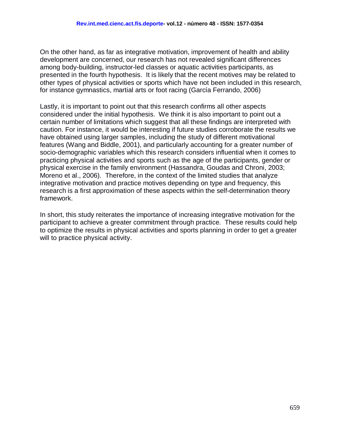On the other hand, as far as integrative motivation, improvement of health and ability development are concerned, our research has not revealed significant differences among body-building, instructor-led classes or aquatic activities participants, as presented in the fourth hypothesis. It is likely that the recent motives may be related to other types of physical activities or sports which have not been included in this research, for instance gymnastics, martial arts or foot racing (García Ferrando, 2006)

Lastly, it is important to point out that this research confirms all other aspects considered under the initial hypothesis. We think it is also important to point out a certain number of limitations which suggest that all these findings are interpreted with caution. For instance, it would be interesting if future studies corroborate the results we have obtained using larger samples, including the study of different motivational features (Wang and Biddle, 2001), and particularly accounting for a greater number of socio-demographic variables which this research considers influential when it comes to practicing physical activities and sports such as the age of the participants, gender or physical exercise in the family environment (Hassandra, Goudas and Chroni, 2003; Moreno et al., 2006). Therefore, in the context of the limited studies that analyze integrative motivation and practice motives depending on type and frequency, this research is a first approximation of these aspects within the self-determination theory framework.

In short, this study reiterates the importance of increasing integrative motivation for the participant to achieve a greater commitment through practice. These results could help to optimize the results in physical activities and sports planning in order to get a greater will to practice physical activity.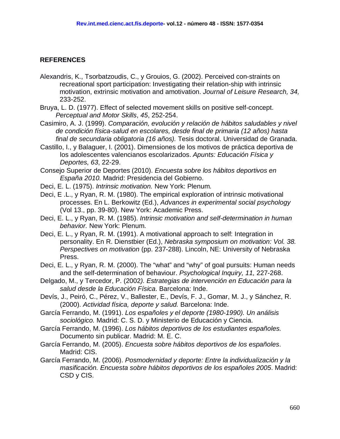#### **REFERENCES**

- Alexandris, K., Tsorbatzoudis, C., y Grouios, G. (2002). Perceived con-straints on recreational sport participation: Investigating their relation-ship with intrinsic motivation, extrinsic motivation and amotivation. *Journal of Leisure Research, 34,*  233-252.
- Bruya, L. D. (1977). Effect of selected movement skills on positive self-concept. *Perceptual and Motor Skills*, *45*, 252-254.
- Casimiro, A. J. (1999). *Comparación, evolución y relación de hábitos saludables y nivel de condición física-salud en escolares, desde final de primaria (12 años) hasta final de secundaria obligatoria (16 años).* Tesis doctoral. Universidad de Granada.
- Castillo, I., y Balaguer, I. (2001). Dimensiones de los motivos de práctica deportiva de los adolescentes valencianos escolarizados. *Apunts: Educación Física y Deportes, 63*, 22-29.
- Consejo Superior de Deportes (2010). *Encuesta sobre los hábitos deportivos en España 2010.* Madrid: Presidencia del Gobierno.
- Deci, E. L. (1975). *Intrinsic motivation.* New York: Plenum.
- Deci, E .L., y Ryan, R. M. (1980). The empirical exploration of intrinsic motivational processes. En L. Berkowitz (Ed.), *Advances in experimental social psychology*  (Vol 13., pp. 39-80). New York: Academic Press.
- Deci, E. L., y Ryan, R. M. (1985). *Intrinsic motivation and self-determination in human behavior.* New York: Plenum.
- Deci, E. L., y Ryan, R. M. (1991). A motivational approach to self: Integration in personality. En R. Dienstbier (Ed.), *Nebraska symposium on motivation: Vol. 38. Perspectives on motivation* (pp. 237-288). Lincoln, NE: University of Nebraska Press.
- Deci, E. L., y Ryan, R. M. (2000). The "what" and "why" of goal pursuits: Human needs and the self-determination of behaviour. *Psychological Inquiry, 11,* 227-268.
- Delgado, M., y Tercedor, P. (2002*). Estrategias de intervención en Educación para la salud desde la Educación Física*. Barcelona: Inde.
- Devís, J., Peiró, C., Pérez, V., Ballester, E., Devís, F. J., Gomar, M. J., y Sánchez, R. (2000). *Actividad física, deporte y salud.* Barcelona: Inde.
- García Ferrando, M. (1991). *Los españoles y el deporte (1980-1990). Un análisis sociológico.* Madrid: C. S. D. y Ministerio de Educación y Ciencia.
- García Ferrando, M. (1996). *Los hábitos deportivos de los estudiantes españoles.* Documento sin publicar. Madrid: M. E. C.
- García Ferrando, M. (2005). *Encuesta sobre hábitos deportivos de los españoles*. Madrid: CIS.
- García Ferrando, M. (2006). *Posmodernidad y deporte: Entre la individualización y la masificación. Encuesta sobre hábitos deportivos de los españoles 2005*. Madrid: CSD y CIS.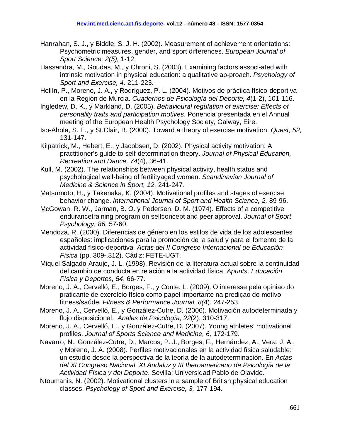- Hanrahan, S. J., y Biddle, S. J. H. (2002). Measurement of achievement orientations: Psychometric measures, gender, and sport differences. *European Journal of Sport Science, 2(5),* 1-12.
- Hassandra, M., Goudas, M., y Chroni, S. (2003). Examining factors associ-ated with intrinsic motivation in physical education: a qualitative ap-proach. *Psychology of Sport and Exercise, 4,* 211-223.
- Hellín, P., Moreno, J. A., y Rodríguez, P. L. (2004). Motivos de práctica físico-deportiva en la Región de Murcia. *Cuadernos de Psicología del Deporte, 4*(1-2), 101-116.
- Ingledew, D. K., y Markland, D. (2005). *Behavioural regulation of exercise: Effects of personality traits and participation motives*. Ponencia presentada en el Annual meeting of the European Health Psychology Society, Galway, Eire.
- Iso-Ahola, S. E., y St.Clair, B. (2000). Toward a theory of exercise motivation. *Quest, 52,*  131-147.
- Kilpatrick, M., Hebert, E., y Jacobsen, D. (2002). Physical activity motivation. A practitioner's guide to self-determination theory. *Journal of Physical Education, Recreation and Dance, 74*(4), 36-41.
- Kull, M. (2002). The relationships between physical activity, health status and psychological well-being of fertilityaged women. *Scandinavian Journal of Medicine & Science in Sport, 12,* 241-247*.*
- Matsumoto, H., y Takenaka, K. (2004). Motivational profiles and stages of exercise behavior change. *International Journal of Sport and Health Science, 2,* 89-96.
- McGowan, R. W., Jarman, B. O. y Pedersen, D. M. (1974). Effects of a competitive endurancetraining program on selfconcept and peer approval. *Journal of Sport Psychology, 86,* 57-60.
- Mendoza, R. (2000). Diferencias de género en los estilos de vida de los adolescentes españoles: implicaciones para la promoción de la salud y para el fomento de la actividad físico-deportiva*. Actas del II Congreso Internacional de Educación Física* (pp. 309-.312). Cádiz: FETE-UGT.
- Miquel Salgado-Araujo, J. L. (1998). Revisión de la literatura actual sobre la continuidad del cambio de conducta en relación a la actividad física. *Apunts. Educación Física y Deportes, 54*, 66-77.
- Moreno, J. A., Cervelló, E., Borges, F., y Conte, L. (2009). O interesse pela opiniao do praticante de exercício físico como papel importante na prediçao do motivo fitness/saúde. *Fitness & Performance Journal, 8(*4), 247-253.
- Moreno, J. A., Cervelló, E., y González-Cutre, D. (2006). Motivación autodeterminada y flujo disposicional. *Anales de Psicología, 22*(2), 310-317.
- Moreno, J. A., Cervelló, E., y González-Cutre, D. (2007). Young athletes' motivational profiles. *Journal of Sports Science and Medicine, 6,* 172-179.
- Navarro, N., González-Cutre, D., Marcos, P. J., Borges, F., Hernández, A., Vera, J. A., y Moreno, J. A. (2008). Perfiles motivacionales en la actividad física saludable: un estudio desde la perspectiva de la teoría de la autodeterminación. En *Actas del XI Congreso Nacional, XI Andaluz y III Iberoamericano de Psicología de la Actividad Física y del Deporte*. Sevilla: Universidad Pablo de Olavide.
- Ntoumanis, N. (2002). Motivational clusters in a sample of British physical education classes. *Psychology of Sport and Exercise, 3,* 177-194.